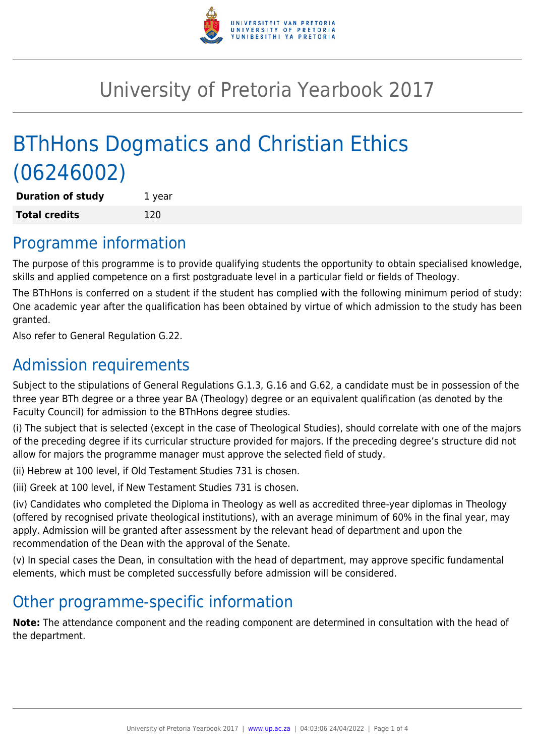

# University of Pretoria Yearbook 2017

# BThHons Dogmatics and Christian Ethics (06246002)

**Duration of study** 1 year **Total credits** 120

## Programme information

The purpose of this programme is to provide qualifying students the opportunity to obtain specialised knowledge, skills and applied competence on a first postgraduate level in a particular field or fields of Theology.

The BThHons is conferred on a student if the student has complied with the following minimum period of study: One academic year after the qualification has been obtained by virtue of which admission to the study has been granted.

Also refer to General Regulation G.22.

### Admission requirements

Subject to the stipulations of General Regulations G.1.3, G.16 and G.62, a candidate must be in possession of the three year BTh degree or a three year BA (Theology) degree or an equivalent qualification (as denoted by the Faculty Council) for admission to the BThHons degree studies.

(i) The subject that is selected (except in the case of Theological Studies), should correlate with one of the majors of the preceding degree if its curricular structure provided for majors. If the preceding degree's structure did not allow for majors the programme manager must approve the selected field of study.

(ii) Hebrew at 100 level, if Old Testament Studies 731 is chosen.

(iii) Greek at 100 level, if New Testament Studies 731 is chosen.

(iv) Candidates who completed the Diploma in Theology as well as accredited three-year diplomas in Theology (offered by recognised private theological institutions), with an average minimum of 60% in the final year, may apply. Admission will be granted after assessment by the relevant head of department and upon the recommendation of the Dean with the approval of the Senate.

(v) In special cases the Dean, in consultation with the head of department, may approve specific fundamental elements, which must be completed successfully before admission will be considered.

# Other programme-specific information

**Note:** The attendance component and the reading component are determined in consultation with the head of the department.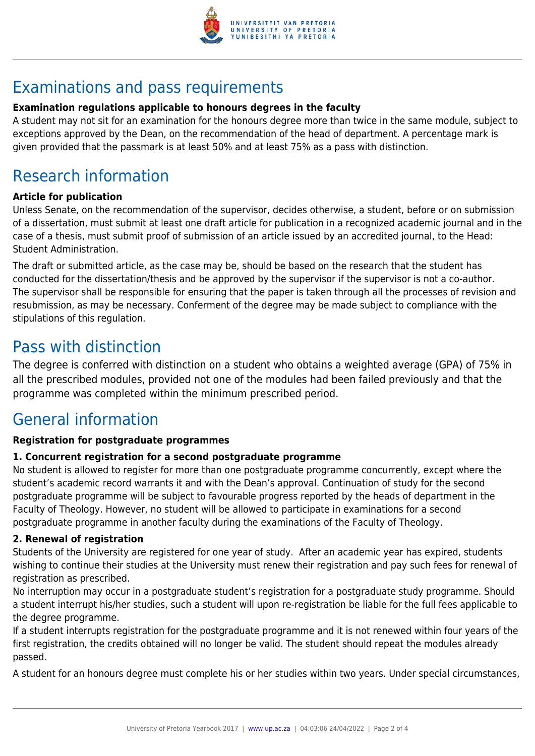

# Examinations and pass requirements

### **Examination regulations applicable to honours degrees in the faculty**

A student may not sit for an examination for the honours degree more than twice in the same module, subject to exceptions approved by the Dean, on the recommendation of the head of department. A percentage mark is given provided that the passmark is at least 50% and at least 75% as a pass with distinction.

# Research information

### **Article for publication**

Unless Senate, on the recommendation of the supervisor, decides otherwise, a student, before or on submission of a dissertation, must submit at least one draft article for publication in a recognized academic journal and in the case of a thesis, must submit proof of submission of an article issued by an accredited journal, to the Head: Student Administration.

The draft or submitted article, as the case may be, should be based on the research that the student has conducted for the dissertation/thesis and be approved by the supervisor if the supervisor is not a co-author. The supervisor shall be responsible for ensuring that the paper is taken through all the processes of revision and resubmission, as may be necessary. Conferment of the degree may be made subject to compliance with the stipulations of this regulation.

### Pass with distinction

The degree is conferred with distinction on a student who obtains a weighted average (GPA) of 75% in all the prescribed modules, provided not one of the modules had been failed previously and that the programme was completed within the minimum prescribed period.

### General information

### **Registration for postgraduate programmes**

### **1. Concurrent registration for a second postgraduate programme**

No student is allowed to register for more than one postgraduate programme concurrently, except where the student's academic record warrants it and with the Dean's approval. Continuation of study for the second postgraduate programme will be subject to favourable progress reported by the heads of department in the Faculty of Theology. However, no student will be allowed to participate in examinations for a second postgraduate programme in another faculty during the examinations of the Faculty of Theology.

#### **2. Renewal of registration**

Students of the University are registered for one year of study. After an academic year has expired, students wishing to continue their studies at the University must renew their registration and pay such fees for renewal of registration as prescribed.

No interruption may occur in a postgraduate student's registration for a postgraduate study programme. Should a student interrupt his/her studies, such a student will upon re-registration be liable for the full fees applicable to the degree programme.

If a student interrupts registration for the postgraduate programme and it is not renewed within four years of the first registration, the credits obtained will no longer be valid. The student should repeat the modules already passed.

A student for an honours degree must complete his or her studies within two years. Under special circumstances,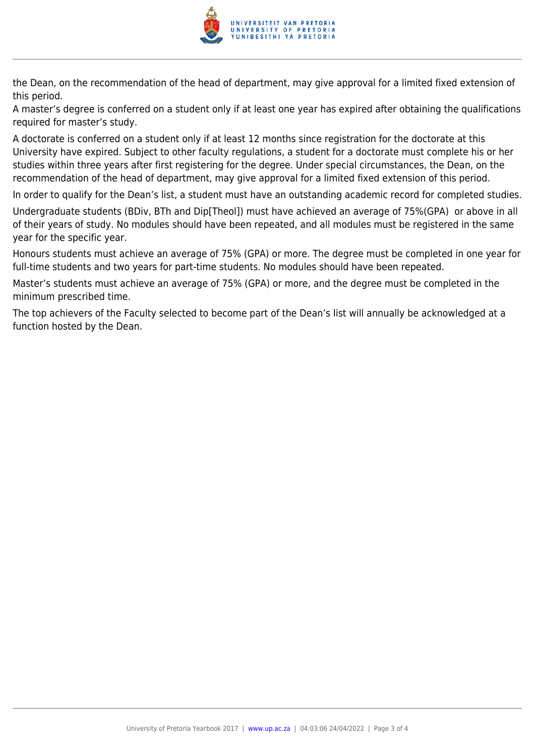

the Dean, on the recommendation of the head of department, may give approval for a limited fixed extension of this period.

A master's degree is conferred on a student only if at least one year has expired after obtaining the qualifications required for master's study.

A doctorate is conferred on a student only if at least 12 months since registration for the doctorate at this University have expired. Subject to other faculty regulations, a student for a doctorate must complete his or her studies within three years after first registering for the degree. Under special circumstances, the Dean, on the recommendation of the head of department, may give approval for a limited fixed extension of this period.

In order to qualify for the Dean's list, a student must have an outstanding academic record for completed studies.

Undergraduate students (BDiv, BTh and Dip[Theol]) must have achieved an average of 75%(GPA) or above in all of their years of study. No modules should have been repeated, and all modules must be registered in the same year for the specific year.

Honours students must achieve an average of 75% (GPA) or more. The degree must be completed in one year for full-time students and two years for part-time students. No modules should have been repeated.

Master's students must achieve an average of 75% (GPA) or more, and the degree must be completed in the minimum prescribed time.

The top achievers of the Faculty selected to become part of the Dean's list will annually be acknowledged at a function hosted by the Dean.